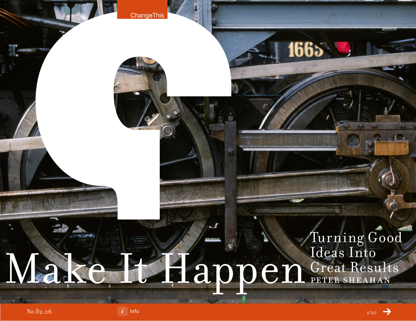## Turning Good Ideas Into Make Happen Great Results



**ChangeThis** 

1665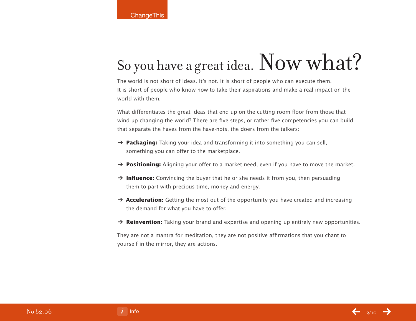# So you have a great idea. Now what?

The world is not short of ideas. It's not. It is short of people who can execute them. It is short of people who know how to take their aspirations and make a real impact on the world with them.

What differentiates the great ideas that end up on the cutting room floor from those that wind up changing the world? There are five steps, or rather five competencies you can build that separate the haves from the have-nots, the doers from the talkers:

- ➔ **Packaging:** Taking your idea and transforming it into something you can sell, something you can offer to the marketplace.
- → **Positioning:** Aligning your offer to a market need, even if you have to move the market.
- → **Influence:** Convincing the buyer that he or she needs it from you, then persuading them to part with precious time, money and energy.
- → **Acceleration:** Getting the most out of the opportunity you have created and increasing the demand for what you have to offer.
- ➔ **Reinvention:** Taking your brand and expertise and opening up entirely new opportunities.

They are not a mantra for meditation, they are not positive affirmations that you chant to yourself in the mirror, they are actions.

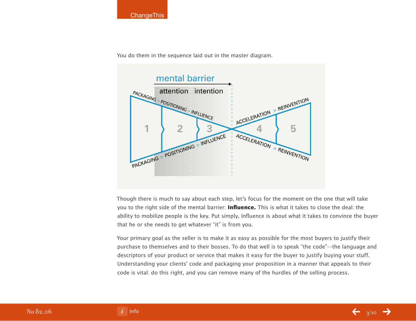

You do them in the sequence laid out in the master diagram.



Though there is much to say about each step, let's focus for the moment on the one that will take you to the right side of the mental barrier: **Influence.** This is what it takes to close the deal: the ability to mobilize people is the key. Put simply, Influence is about what it takes to convince the buyer that he or she needs to get whatever "it" is from you.

Your primary goal as the seller is to make it as easy as possible for the most buyers to justify their purchase to themselves and to their bosses. To do that well is to speak "the code"—the language and descriptors of your product or service that makes it easy for the buyer to justify buying your stuff. Understanding your clients' code and packaging your proposition in a manner that appeals to their code is vital: do this right, and you can remove many of the hurdles of the selling process.

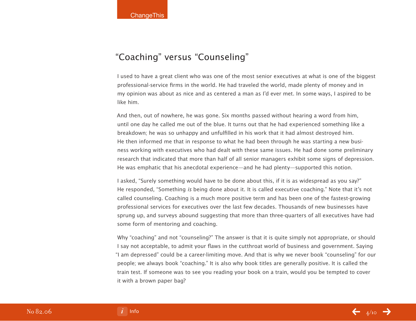## "Coaching" versus "Counseling"

I used to have a great client who was one of the most senior executives at what is one of the biggest professional-service firms in the world. He had traveled the world, made plenty of money and in my opinion was about as nice and as centered a man as I'd ever met. In some ways, I aspired to be like him.

And then, out of nowhere, he was gone. Six months passed without hearing a word from him, until one day he called me out of the blue. It turns out that he had experienced something like a breakdown; he was so unhappy and unfulfilled in his work that it had almost destroyed him. He then informed me that in response to what he had been through he was starting a new business working with executives who had dealt with these same issues. He had done some preliminary research that indicated that more than half of all senior managers exhibit some signs of depression. He was emphatic that his anecdotal experience—and he had plenty—supported this notion.

I asked, "Surely something would have to be done about this, if it is as widespread as you say?" He responded, "Something is being done about it. It is called executive coaching." Note that it's not called counseling. Coaching is a much more positive term and has been one of the fastest-growing professional services for executives over the last few decades. Thousands of new businesses have sprung up, and surveys abound suggesting that more than three-quarters of all executives have had some form of mentoring and coaching.

Why "coaching" and not "counseling?" The answer is that it is quite simply not appropriate, or should I say not acceptable, to admit your flaws in the cutthroat world of business and government. Saying "I am depressed" could be a career-limiting move. And that is why we never book "counseling" for our people; we always book "coaching." It is also why book titles are generally positive. It is called the train test. If someone was to see you reading your book on a train, would you be tempted to cover it with a brown paper bag?

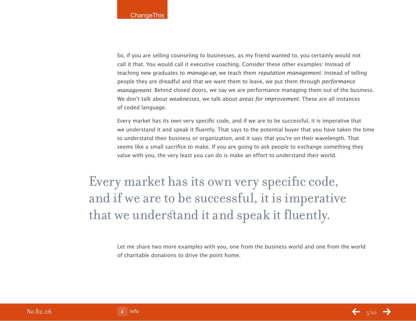So, if you are selling counseling to businesses, as my friend wanted to, you certainly would not call it that. You would call it executive coaching. Consider these other examples: Instead of teaching new graduates to *manage-up*, we teach them *reputation management*. Instead of telling people they are dreadful and that we want them to leave, we put them through *performance* management. Behind closed doors, we say we are performance managing them out of the business. We don't talk about *weaknesses*, we talk about *areas for improvement*. These are all instances of coded language.

Every market has its own very specific code, and if we are to be successful, it is imperative that we understand it and speak it fluently. That says to the potential buyer that you have taken the time to understand their business or organization, and it says that you're on their wavelength. That seems like a small sacrifice to make. If you are going to ask people to exchange something they value with you, the very least you can do is make an effort to understand their world.

Every market has its own very specific code, and if we are to be successful, it is imperative that we understand it and speak it fluently.

> Let me share two more examples with you, one from the business world and one from the world of charitable donations to drive the point home.

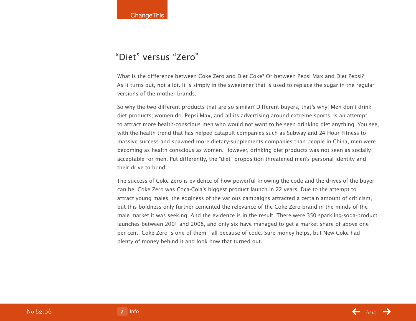### "Diet" versus "Zero"

What is the difference between Coke Zero and Diet Coke? Or between Pepsi Max and Diet Pepsi? As it turns out, not a lot. It is simply in the sweetener that is used to replace the sugar in the regular versions of the mother brands.

So why the two different products that are so similar? Different buyers, that's why! Men don't drink diet products; women do. Pepsi Max, and all its advertising around extreme sports, is an attempt to attract more health-conscious men who would not want to be seen drinking diet anything. You see, with the health trend that has helped catapult companies such as Subway and 24-Hour Fitness to massive success and spawned more dietary-supplements companies than people in China, men were becoming as health conscious as women. However, drinking diet products was not seen as socially acceptable for men. Put differently, the "diet" proposition threatened men's personal identity and their drive to bond.

The success of Coke Zero is evidence of how powerful knowing the code and the drives of the buyer can be. Coke Zero was Coca-Cola's biggest product launch in 22 years. Due to the attempt to attract young males, the edginess of the various campaigns attracted a certain amount of criticism, but this boldness only further cemented the relevance of the Coke Zero brand in the minds of the male market it was seeking. And the evidence is in the result. There were 350 sparkling-soda-product launches between 2001 and 2008, and only six have managed to get a market share of above one per cent. Coke Zero is one of them—all because of code. Sure money helps, but New Coke had plenty of money behind it and look how that turned out.

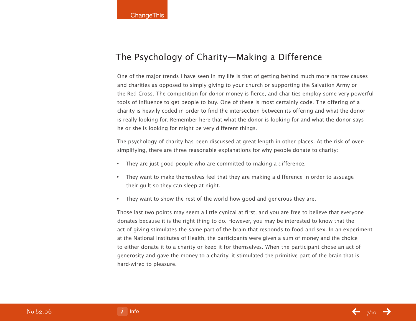### The Psychology of Charity—Making a Difference

One of the major trends I have seen in my life is that of getting behind much more narrow causes and charities as opposed to simply giving to your church or supporting the Salvation Army or the Red Cross. The competition for donor money is fierce, and charities employ some very powerful tools of influence to get people to buy. One of these is most certainly code. The offering of a charity is heavily coded in order to find the intersection between its offering and what the donor is really looking for. Remember here that what the donor is looking for and what the donor says he or she is looking for might be very different things.

The psychology of charity has been discussed at great length in other places. At the risk of oversimplifying, there are three reasonable explanations for why people donate to charity:

- They are just good people who are committed to making a difference.
- They want to make themselves feel that they are making a difference in order to assuage their guilt so they can sleep at night.
- They want to show the rest of the world how good and generous they are.

Those last two points may seem a little cynical at first, and you are free to believe that everyone donates because it is the right thing to do. However, you may be interested to know that the act of giving stimulates the same part of the brain that responds to food and sex. In an experiment at the National Institutes of Health, the participants were given a sum of money and the choice to either donate it to a charity or keep it for themselves. When the participant chose an act of generosity and gave the money to a charity, it stimulated the primitive part of the brain that is hard-wired to pleasure.

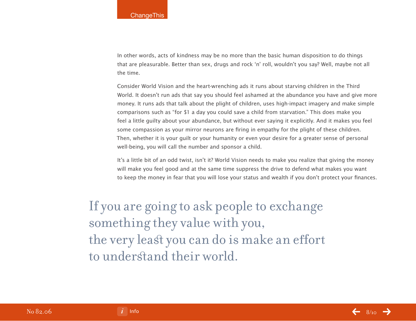In other words, acts of kindness may be no more than the basic human disposition to do things that are pleasurable. Better than sex, drugs and rock 'n' roll, wouldn't you say? Well, maybe not all the time.

Consider World Vision and the heart-wrenching ads it runs about starving children in the Third World. It doesn't run ads that say you should feel ashamed at the abundance you have and give more money. It runs ads that talk about the plight of children, uses high-impact imagery and make simple comparisons such as "for \$1 a day you could save a child from starvation." This does make you feel a little guilty about your abundance, but without ever saying it explicitly. And it makes you feel some compassion as your mirror neurons are firing in empathy for the plight of these children. Then, whether it is your guilt or your humanity or even your desire for a greater sense of personal well-being, you will call the number and sponsor a child.

It's a little bit of an odd twist, isn't it? World Vision needs to make you realize that giving the money will make you feel good and at the same time suppress the drive to defend what makes you want to keep the money in fear that you will lose your status and wealth if you don't protect your finances.

If you are going to ask people to exchange something they value with you, the very least you can do is make an effort to understand their world.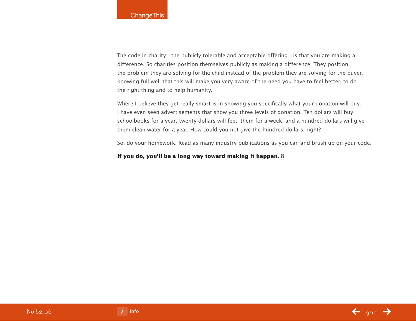The code in charity—the publicly tolerable and acceptable offering—is that you are making a difference. So charities position themselves publicly as making a difference. They position the problem they are solving for the child instead of the problem they are solving for the buyer, knowing full well that this will make you very aware of the need you have to feel better, to do the right thing and to help humanity.

Where I believe they get really smart is in showing you specifically what your donation will buy. I have even seen advertisements that show you three levels of donation. Ten dollars will buy schoolbooks for a year; twenty dollars will feed them for a week; and a hundred dollars will give them clean water for a year. How could you not give the hundred dollars, right?

So, do your homework. Read as many industry publications as you can and brush up on your code.

#### **If you do, you'll be a long way toward making it happen.**